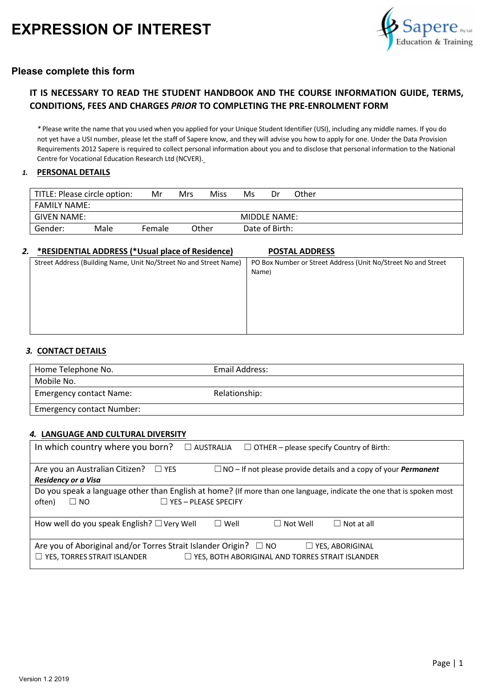

### **Please complete this form**

### **IT IS NECESSARY TO READ THE STUDENT HANDBOOK AND THE COURSE INFORMATION GUIDE, TERMS, CONDITIONS, FEES AND CHARGES** *PRIOR* **TO COMPLETING THE PRE-ENROLMENT FORM**

*\** Please write the name that you used when you applied for your Unique Student Identifier (USI), including any middle names. If you do not yet have a USI number, please let the staff of Sapere know, and they will advise you how to apply for one. Under the Data Provision Requirements 2012 Sapere is required to collect personal information about you and to disclose that personal information to the National Centre for Vocational Education Research Ltd (NCVER).

#### *1.* **PERSONAL DETAILS**

| TITLE: Please circle option: |      | Mr     | Mrs | Miss  | Ms | Dr                  | Other |
|------------------------------|------|--------|-----|-------|----|---------------------|-------|
| <b>FAMILY NAME:</b>          |      |        |     |       |    |                     |       |
| GIVEN NAME:                  |      |        |     |       |    | <b>MIDDLE NAME:</b> |       |
| Gender:                      | Male | Female |     | Other |    | Date of Birth:      |       |

#### *2.* **\*RESIDENTIAL ADDRESS (\*Usual place of Residence) POSTAL ADDRESS**

| <u>KLJIDENTIAL ADDREJJ (TOSUAI DIACE UI RESIUEIICE)</u>           | FUJIML MUUNLJJ                                                |
|-------------------------------------------------------------------|---------------------------------------------------------------|
| Street Address (Building Name, Unit No/Street No and Street Name) | PO Box Number or Street Address (Unit No/Street No and Street |
|                                                                   | Name)                                                         |
|                                                                   |                                                               |
|                                                                   |                                                               |
|                                                                   |                                                               |
|                                                                   |                                                               |

#### *3.* **CONTACT DETAILS**

| Home Telephone No.               | Email Address: |  |
|----------------------------------|----------------|--|
| Mobile No.                       |                |  |
| <b>Emergency contact Name:</b>   | Relationship:  |  |
| <b>Emergency contact Number:</b> |                |  |

#### *4.* **LANGUAGE AND CULTURAL DIVERSITY**

| In which country where you born?<br>$\square$ australia<br>$\Box$ OTHER – please specify Country of Birth:                                                                                 |  |  |  |  |
|--------------------------------------------------------------------------------------------------------------------------------------------------------------------------------------------|--|--|--|--|
| Are you an Australian Citizen?<br>$\Box$ NO – If not please provide details and a copy of your <b>Permanent</b><br>$\Box$ YES<br><b>Residency or a Visa</b>                                |  |  |  |  |
| Do you speak a language other than English at home? (If more than one language, indicate the one that is spoken most<br>$\Box$ YFS – PI FASE SPECIEY<br>$\Box$ NO<br>often)                |  |  |  |  |
| How well do you speak English? □ Very Well<br>$\Box$ Well<br>$\Box$ Not Well<br>$\Box$ Not at all                                                                                          |  |  |  |  |
| Are you of Aboriginal and/or Torres Strait Islander Origin? □ NO<br>$\Box$ YES, ABORIGINAL<br>$\Box$ YES, TORRES STRAIT ISLANDER<br>$\Box$ YES, BOTH ABORIGINAL AND TORRES STRAIT ISLANDER |  |  |  |  |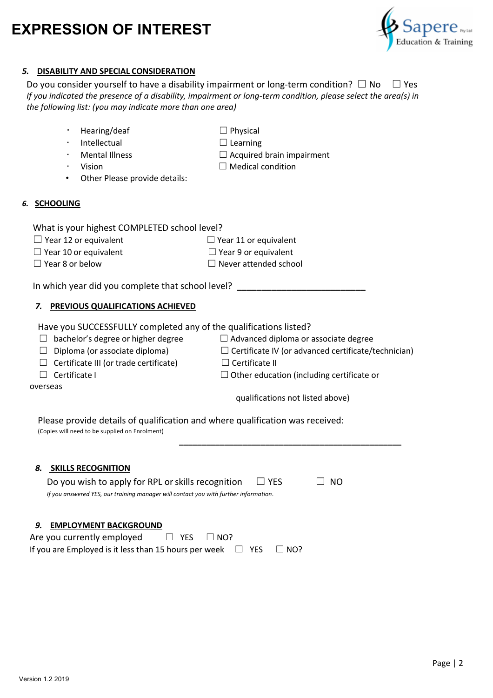

### *5.* **DISABILITY AND SPECIAL CONSIDERATION**

• Hearing/deaf □ DPhysical

Do you consider yourself to have a disability impairment or long-term condition?  $\Box$  No  $\Box$  Yes *If you indicated the presence of a disability, impairment or long-term condition, please select the area(s) in the following list: (you may indicate more than one area)*

| Intellectual                                                                                                                                                                                       | $\Box$ Learning                                                                                                                    |
|----------------------------------------------------------------------------------------------------------------------------------------------------------------------------------------------------|------------------------------------------------------------------------------------------------------------------------------------|
| <b>Mental Illness</b>                                                                                                                                                                              | $\Box$ Acquired brain impairment                                                                                                   |
| Vision                                                                                                                                                                                             | $\Box$ Medical condition                                                                                                           |
| Other Please provide details:                                                                                                                                                                      |                                                                                                                                    |
| <b>SCHOOLING</b>                                                                                                                                                                                   |                                                                                                                                    |
| What is your highest COMPLETED school level?                                                                                                                                                       |                                                                                                                                    |
| $\Box$ Year 12 or equivalent                                                                                                                                                                       | $\Box$ Year 11 or equivalent                                                                                                       |
| $\Box$ Year 10 or equivalent                                                                                                                                                                       | $\Box$ Year 9 or equivalent                                                                                                        |
| $\Box$ Year 8 or below                                                                                                                                                                             | $\Box$ Never attended school                                                                                                       |
| Have you SUCCESSFULLY completed any of the qualifications listed?<br>bachelor's degree or higher degree<br>Diploma (or associate diploma)<br>⊔<br>Certificate III (or trade certificate)<br>$\Box$ | $\Box$ Advanced diploma or associate degree<br>$\Box$ Certificate IV (or advanced certificate/technician)<br>$\Box$ Certificate II |
| Certificate I<br>П<br>overseas                                                                                                                                                                     | $\Box$ Other education (including certificate or                                                                                   |
|                                                                                                                                                                                                    | qualifications not listed above)                                                                                                   |
| Please provide details of qualification and where qualification was received:<br>(Copies will need to be supplied on Enrolment)<br>8. SKILLS RECOGNITION                                           |                                                                                                                                    |

#### *9.* **EMPLOYMENT BACKGROUND**

| Are you currently employed                                                  | $\Box$ YES $\Box$ NO? |  |  |
|-----------------------------------------------------------------------------|-----------------------|--|--|
| If you are Employed is it less than 15 hours per week $\Box$ YES $\Box$ NO? |                       |  |  |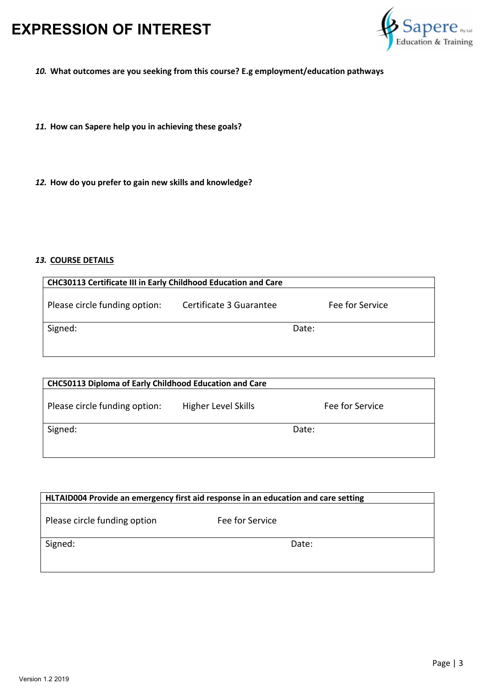

*10.* **What outcomes are you seeking from this course? E.g employment/education pathways**

- *11.* **How can Sapere help you in achieving these goals?**
- *12.* **How do you prefer to gain new skills and knowledge?**

### *13.* **COURSE DETAILS**

| <b>CHC30113 Certificate III in Early Childhood Education and Care</b> |                         |                 |  |  |
|-----------------------------------------------------------------------|-------------------------|-----------------|--|--|
| Please circle funding option:                                         | Certificate 3 Guarantee | Fee for Service |  |  |
| Signed:                                                               |                         | Date:           |  |  |
|                                                                       |                         |                 |  |  |

| <b>CHC50113 Diploma of Early Childhood Education and Care</b> |                     |                 |  |  |
|---------------------------------------------------------------|---------------------|-----------------|--|--|
| Please circle funding option:                                 | Higher Level Skills | Fee for Service |  |  |
| Signed:                                                       |                     | Date:           |  |  |

| HLTAID004 Provide an emergency first aid response in an education and care setting |                 |  |  |  |
|------------------------------------------------------------------------------------|-----------------|--|--|--|
| Please circle funding option                                                       | Fee for Service |  |  |  |
| Signed:                                                                            | Date:           |  |  |  |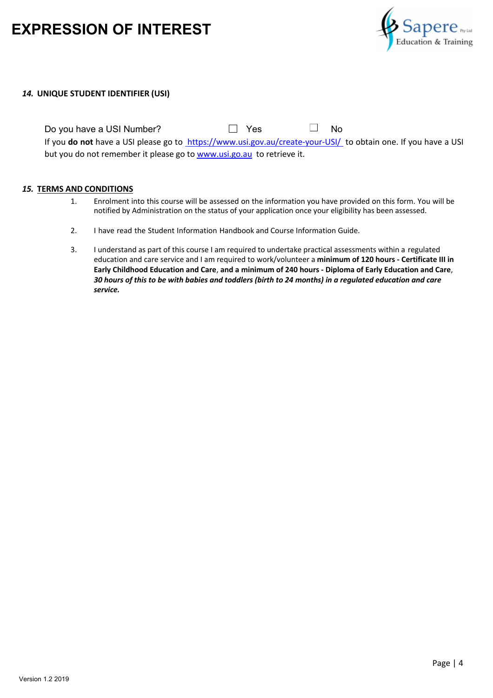

#### *14.* **UNIQUE STUDENT IDENTIFIER (USI)**

Do you have a USI Number?  $\Box$  Yes  $\Box$  No If you **do not** have a USI please go to https://www.usi.gov.au/create-your-USI/ to obtain one. If you have a USI but you do not remember it please go to www.usi.go.au to retrieve it.

#### *15.* **TERMS AND CONDITIONS**

- 1. Enrolment into this course will be assessed on the information you have provided on this form. You will be notified by Administration on the status of your application once your eligibility has been assessed.
- 2. I have read the Student Information Handbook and Course Information Guide.
- 3. I understand as part of this course I am required to undertake practical assessments within a regulated education and care service and I am required to work/volunteer a **minimum of 120 hours - Certificate III in Early Childhood Education and Care**, **and a minimum of 240 hours - Diploma of Early Education and Care**, *30 hours of this to be with babies and toddlers (birth to 24 months) in a regulated education and care service.*